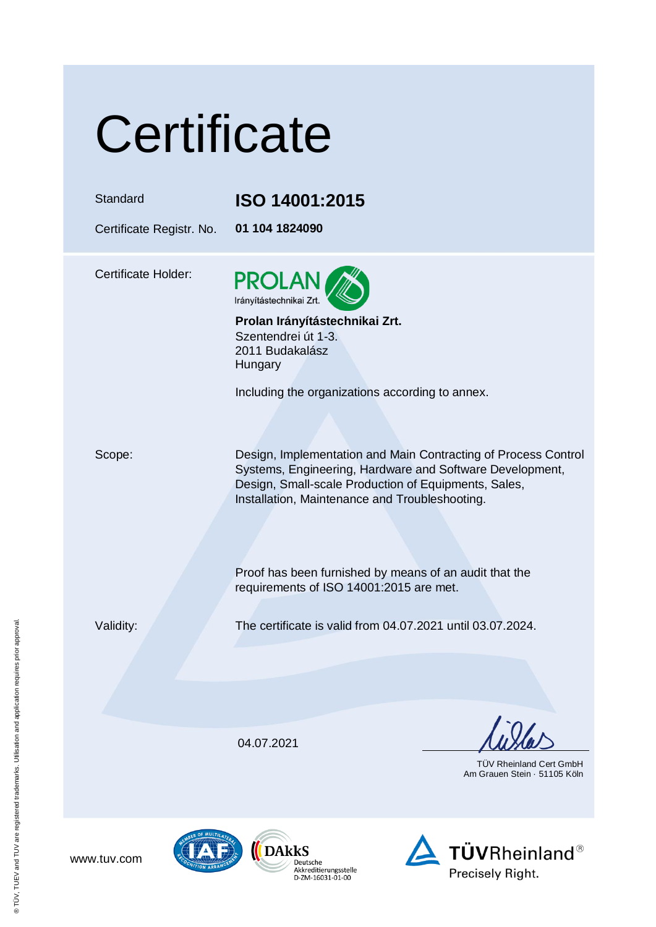|  | Certificate |  |
|--|-------------|--|
|  |             |  |

## Standard **ISO 14001:2015**

Certificate Registr. No. **01 104 1824090**

Certificate Holder:



**Prolan Irányítástechnikai Zrt.** Szentendrei út 1-3. 2011 Budakalász Hungary

Including the organizations according to annex.

Scope: Design, Implementation and Main Contracting of Process Control Systems, Engineering, Hardware and Software Development, Design, Small-scale Production of Equipments, Sales, Installation, Maintenance and Troubleshooting.

> Proof has been furnished by means of an audit that the requirements of ISO 14001:2015 are met.

Validity: The certificate is valid from 04.07.2021 until 03.07.2024.

04.07.2021

Deutsche Akkreditierungsstelle

D-ZM-16031-01-00

 TÜV Rheinland Cert GmbH Am Grauen Stein · 51105 Köln



www.tuv.com